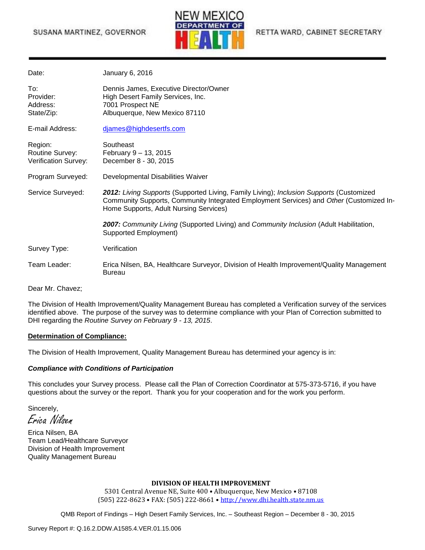### SUSANA MARTINEZ, GOVERNOR



RETTA WARD, CABINET SECRETARY

| Date:                                              | January 6, 2016                                                                                                                                                                                                              |
|----------------------------------------------------|------------------------------------------------------------------------------------------------------------------------------------------------------------------------------------------------------------------------------|
| To:<br>Provider:<br>Address:<br>State/Zip:         | Dennis James, Executive Director/Owner<br>High Desert Family Services, Inc.<br>7001 Prospect NE<br>Albuquerque, New Mexico 87110                                                                                             |
| E-mail Address:                                    | djames@highdesertfs.com                                                                                                                                                                                                      |
| Region:<br>Routine Survey:<br>Verification Survey: | Southeast<br>February 9 - 13, 2015<br>December 8 - 30, 2015                                                                                                                                                                  |
| Program Surveyed:                                  | Developmental Disabilities Waiver                                                                                                                                                                                            |
| Service Surveyed:                                  | 2012: Living Supports (Supported Living, Family Living); Inclusion Supports (Customized<br>Community Supports, Community Integrated Employment Services) and Other (Customized In-<br>Home Supports, Adult Nursing Services) |
|                                                    | 2007: Community Living (Supported Living) and Community Inclusion (Adult Habilitation,<br><b>Supported Employment)</b>                                                                                                       |
| Survey Type:                                       | Verification                                                                                                                                                                                                                 |
| Team Leader:                                       | Erica Nilsen, BA, Healthcare Surveyor, Division of Health Improvement/Quality Management<br><b>Bureau</b>                                                                                                                    |

Dear Mr. Chavez;

The Division of Health Improvement/Quality Management Bureau has completed a Verification survey of the services identified above. The purpose of the survey was to determine compliance with your Plan of Correction submitted to DHI regarding the *Routine Survey on February 9 - 13, 2015*.

#### **Determination of Compliance:**

The Division of Health Improvement, Quality Management Bureau has determined your agency is in:

#### *Compliance with Conditions of Participation*

This concludes your Survey process. Please call the Plan of Correction Coordinator at 575-373-5716, if you have questions about the survey or the report. Thank you for your cooperation and for the work you perform.

Sincerely, Erica Nilsen

Erica Nilsen, BA Team Lead/Healthcare Surveyor Division of Health Improvement Quality Management Bureau

#### **DIVISION OF HEALTH IMPROVEMENT**

5301 Central Avenue NE, Suite 400 • Albuquerque, New Mexico • 87108 (505) 222-8623 • FAX: (505) 222-8661 • [http://www.dhi.health.state.nm.us](http://www.dhi.health.state.nm.us/)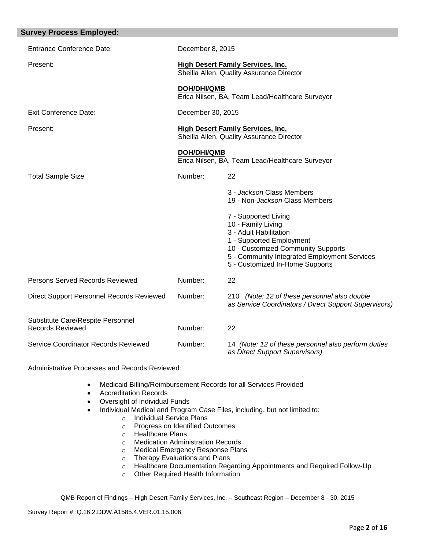| <b>Survey Process Employed:</b>                              |                                                                                       |                                                                                                                                                                                                                           |
|--------------------------------------------------------------|---------------------------------------------------------------------------------------|---------------------------------------------------------------------------------------------------------------------------------------------------------------------------------------------------------------------------|
| <b>Entrance Conference Date:</b>                             | December 8, 2015                                                                      |                                                                                                                                                                                                                           |
| Present:                                                     | <b>High Desert Family Services, Inc.</b><br>Sheilla Allen, Quality Assurance Director |                                                                                                                                                                                                                           |
|                                                              | DOH/DHI/QMB                                                                           | Erica Nilsen, BA, Team Lead/Healthcare Surveyor                                                                                                                                                                           |
| <b>Exit Conference Date:</b>                                 | December 30, 2015                                                                     |                                                                                                                                                                                                                           |
| Present:                                                     | <b>High Desert Family Services, Inc.</b><br>Sheilla Allen, Quality Assurance Director |                                                                                                                                                                                                                           |
|                                                              | <b>DOH/DHI/QMB</b>                                                                    | Erica Nilsen, BA, Team Lead/Healthcare Surveyor                                                                                                                                                                           |
| <b>Total Sample Size</b>                                     | Number:                                                                               | 22                                                                                                                                                                                                                        |
|                                                              |                                                                                       | 3 - Jackson Class Members<br>19 - Non-Jackson Class Members                                                                                                                                                               |
|                                                              |                                                                                       | 7 - Supported Living<br>10 - Family Living<br>3 - Adult Habilitation<br>1 - Supported Employment<br>10 - Customized Community Supports<br>5 - Community Integrated Employment Services<br>5 - Customized In-Home Supports |
| Persons Served Records Reviewed                              | Number:                                                                               | 22                                                                                                                                                                                                                        |
| Direct Support Personnel Records Reviewed                    | Number:                                                                               | 210 (Note: 12 of these personnel also double<br>as Service Coordinators / Direct Support Supervisors)                                                                                                                     |
| Substitute Care/Respite Personnel<br><b>Records Reviewed</b> | Number:                                                                               | 22                                                                                                                                                                                                                        |
| Service Coordinator Records Reviewed                         | Number:                                                                               | 14 (Note: 12 of these personnel also perform duties<br>as Direct Support Supervisors)                                                                                                                                     |

Administrative Processes and Records Reviewed:

- Medicaid Billing/Reimbursement Records for all Services Provided
- Accreditation Records
- Oversight of Individual Funds
- Individual Medical and Program Case Files, including, but not limited to:
	- o Individual Service Plans
	- o Progress on Identified Outcomes
	- o Healthcare Plans
	- o Medication Administration Records
	- o Medical Emergency Response Plans
	- o Therapy Evaluations and Plans
	- o Healthcare Documentation Regarding Appointments and Required Follow-Up
	- o Other Required Health Information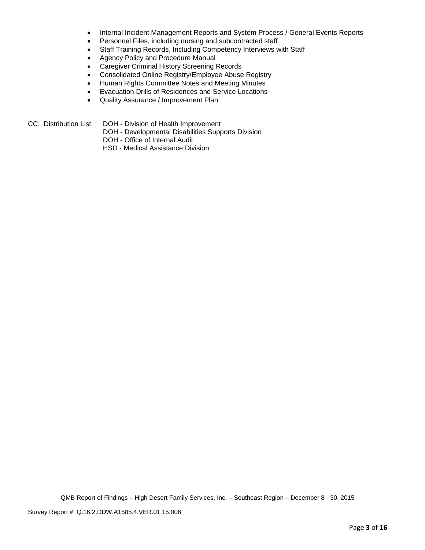- Internal Incident Management Reports and System Process / General Events Reports
- Personnel Files, including nursing and subcontracted staff
- Staff Training Records, Including Competency Interviews with Staff
- Agency Policy and Procedure Manual
- Caregiver Criminal History Screening Records
- Consolidated Online Registry/Employee Abuse Registry
- Human Rights Committee Notes and Meeting Minutes
- Evacuation Drills of Residences and Service Locations
- Quality Assurance / Improvement Plan
- CC: Distribution List: DOH Division of Health Improvement
	- DOH Developmental Disabilities Supports Division
	- DOH Office of Internal Audit
	- HSD Medical Assistance Division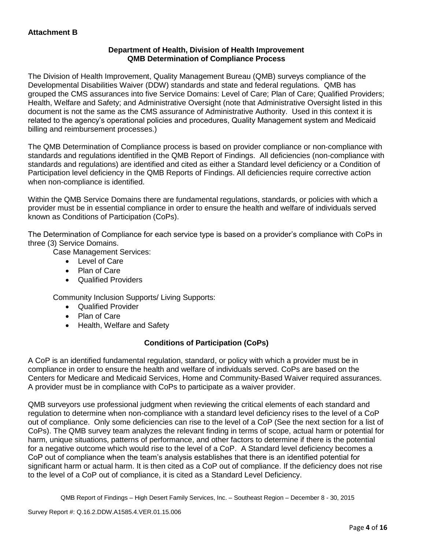## **Department of Health, Division of Health Improvement QMB Determination of Compliance Process**

The Division of Health Improvement, Quality Management Bureau (QMB) surveys compliance of the Developmental Disabilities Waiver (DDW) standards and state and federal regulations. QMB has grouped the CMS assurances into five Service Domains: Level of Care; Plan of Care; Qualified Providers; Health, Welfare and Safety; and Administrative Oversight (note that Administrative Oversight listed in this document is not the same as the CMS assurance of Administrative Authority. Used in this context it is related to the agency's operational policies and procedures, Quality Management system and Medicaid billing and reimbursement processes.)

The QMB Determination of Compliance process is based on provider compliance or non-compliance with standards and regulations identified in the QMB Report of Findings. All deficiencies (non-compliance with standards and regulations) are identified and cited as either a Standard level deficiency or a Condition of Participation level deficiency in the QMB Reports of Findings. All deficiencies require corrective action when non-compliance is identified.

Within the QMB Service Domains there are fundamental regulations, standards, or policies with which a provider must be in essential compliance in order to ensure the health and welfare of individuals served known as Conditions of Participation (CoPs).

The Determination of Compliance for each service type is based on a provider's compliance with CoPs in three (3) Service Domains.

Case Management Services:

- Level of Care
- Plan of Care
- Qualified Providers

Community Inclusion Supports/ Living Supports:

- Qualified Provider
- Plan of Care
- Health, Welfare and Safety

## **Conditions of Participation (CoPs)**

A CoP is an identified fundamental regulation, standard, or policy with which a provider must be in compliance in order to ensure the health and welfare of individuals served. CoPs are based on the Centers for Medicare and Medicaid Services, Home and Community-Based Waiver required assurances. A provider must be in compliance with CoPs to participate as a waiver provider.

QMB surveyors use professional judgment when reviewing the critical elements of each standard and regulation to determine when non-compliance with a standard level deficiency rises to the level of a CoP out of compliance. Only some deficiencies can rise to the level of a CoP (See the next section for a list of CoPs). The QMB survey team analyzes the relevant finding in terms of scope, actual harm or potential for harm, unique situations, patterns of performance, and other factors to determine if there is the potential for a negative outcome which would rise to the level of a CoP. A Standard level deficiency becomes a CoP out of compliance when the team's analysis establishes that there is an identified potential for significant harm or actual harm. It is then cited as a CoP out of compliance. If the deficiency does not rise to the level of a CoP out of compliance, it is cited as a Standard Level Deficiency.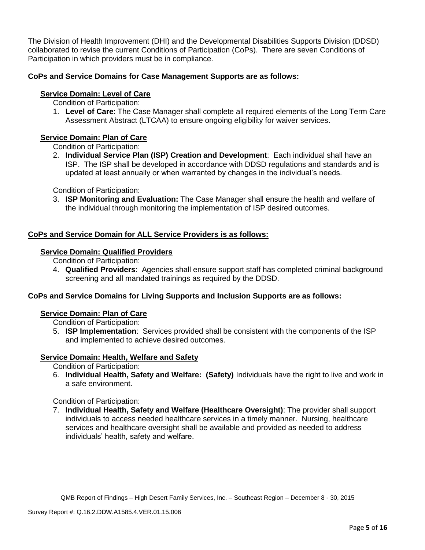The Division of Health Improvement (DHI) and the Developmental Disabilities Supports Division (DDSD) collaborated to revise the current Conditions of Participation (CoPs). There are seven Conditions of Participation in which providers must be in compliance.

## **CoPs and Service Domains for Case Management Supports are as follows:**

## **Service Domain: Level of Care**

Condition of Participation:

1. **Level of Care**: The Case Manager shall complete all required elements of the Long Term Care Assessment Abstract (LTCAA) to ensure ongoing eligibility for waiver services.

## **Service Domain: Plan of Care**

Condition of Participation:

2. **Individual Service Plan (ISP) Creation and Development**: Each individual shall have an ISP. The ISP shall be developed in accordance with DDSD regulations and standards and is updated at least annually or when warranted by changes in the individual's needs.

Condition of Participation:

3. **ISP Monitoring and Evaluation:** The Case Manager shall ensure the health and welfare of the individual through monitoring the implementation of ISP desired outcomes.

## **CoPs and Service Domain for ALL Service Providers is as follows:**

## **Service Domain: Qualified Providers**

- Condition of Participation:
- 4. **Qualified Providers**: Agencies shall ensure support staff has completed criminal background screening and all mandated trainings as required by the DDSD.

## **CoPs and Service Domains for Living Supports and Inclusion Supports are as follows:**

#### **Service Domain: Plan of Care**

Condition of Participation:

5. **ISP Implementation**: Services provided shall be consistent with the components of the ISP and implemented to achieve desired outcomes.

## **Service Domain: Health, Welfare and Safety**

Condition of Participation:

6. **Individual Health, Safety and Welfare: (Safety)** Individuals have the right to live and work in a safe environment.

Condition of Participation:

7. **Individual Health, Safety and Welfare (Healthcare Oversight)**: The provider shall support individuals to access needed healthcare services in a timely manner. Nursing, healthcare services and healthcare oversight shall be available and provided as needed to address individuals' health, safety and welfare.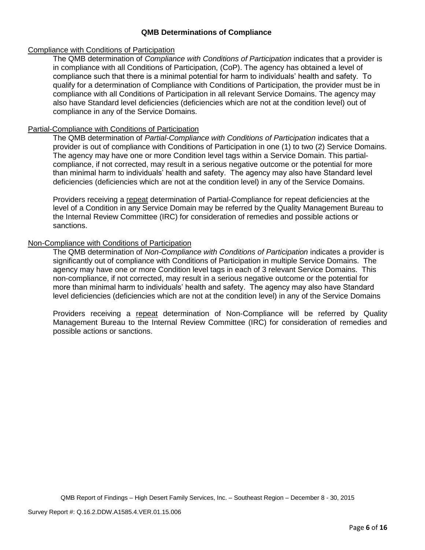### **QMB Determinations of Compliance**

#### Compliance with Conditions of Participation

The QMB determination of *Compliance with Conditions of Participation* indicates that a provider is in compliance with all Conditions of Participation, (CoP). The agency has obtained a level of compliance such that there is a minimal potential for harm to individuals' health and safety. To qualify for a determination of Compliance with Conditions of Participation, the provider must be in compliance with all Conditions of Participation in all relevant Service Domains. The agency may also have Standard level deficiencies (deficiencies which are not at the condition level) out of compliance in any of the Service Domains.

#### Partial-Compliance with Conditions of Participation

The QMB determination of *Partial-Compliance with Conditions of Participation* indicates that a provider is out of compliance with Conditions of Participation in one (1) to two (2) Service Domains. The agency may have one or more Condition level tags within a Service Domain. This partialcompliance, if not corrected, may result in a serious negative outcome or the potential for more than minimal harm to individuals' health and safety. The agency may also have Standard level deficiencies (deficiencies which are not at the condition level) in any of the Service Domains.

Providers receiving a repeat determination of Partial-Compliance for repeat deficiencies at the level of a Condition in any Service Domain may be referred by the Quality Management Bureau to the Internal Review Committee (IRC) for consideration of remedies and possible actions or sanctions.

### Non-Compliance with Conditions of Participation

The QMB determination of *Non-Compliance with Conditions of Participation* indicates a provider is significantly out of compliance with Conditions of Participation in multiple Service Domains. The agency may have one or more Condition level tags in each of 3 relevant Service Domains. This non-compliance, if not corrected, may result in a serious negative outcome or the potential for more than minimal harm to individuals' health and safety. The agency may also have Standard level deficiencies (deficiencies which are not at the condition level) in any of the Service Domains

Providers receiving a repeat determination of Non-Compliance will be referred by Quality Management Bureau to the Internal Review Committee (IRC) for consideration of remedies and possible actions or sanctions.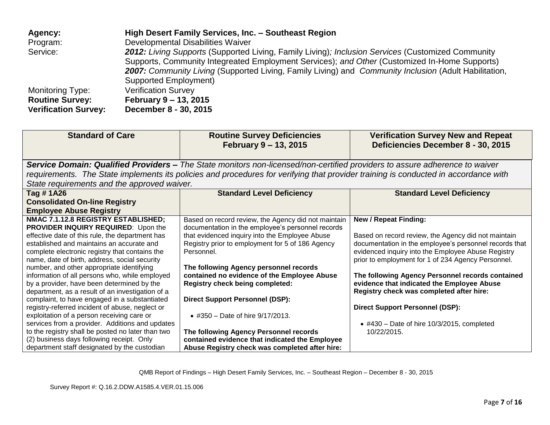| Agency:                     | High Desert Family Services, Inc. - Southeast Region                                                  |
|-----------------------------|-------------------------------------------------------------------------------------------------------|
| Program:                    | Developmental Disabilities Waiver                                                                     |
| Service:                    | 2012: Living Supports (Supported Living, Family Living); Inclusion Services (Customized Community     |
|                             | Supports, Community Integreated Employment Services); and Other (Customized In-Home Supports)         |
|                             | 2007: Community Living (Supported Living, Family Living) and Community Inclusion (Adult Habilitation, |
|                             | Supported Employment)                                                                                 |
| <b>Monitoring Type:</b>     | <b>Verification Survey</b>                                                                            |
| <b>Routine Survey:</b>      | February 9 - 13, 2015                                                                                 |
| <b>Verification Survey:</b> | December 8 - 30, 2015                                                                                 |

| <b>Standard of Care</b>                                                                                                                                                                                                                                                                                                                                                                                                                                                                                                                                                                                                                                                                                                                                                                                                                      | <b>Routine Survey Deficiencies</b><br>February 9 - 13, 2015                                                                                                                                                                                                                                                                                                                                                                                                                                                                                                                                    | <b>Verification Survey New and Repeat</b><br>Deficiencies December 8 - 30, 2015                                                                                                                                                                                                                                                                                                                                                                                                                                        |  |
|----------------------------------------------------------------------------------------------------------------------------------------------------------------------------------------------------------------------------------------------------------------------------------------------------------------------------------------------------------------------------------------------------------------------------------------------------------------------------------------------------------------------------------------------------------------------------------------------------------------------------------------------------------------------------------------------------------------------------------------------------------------------------------------------------------------------------------------------|------------------------------------------------------------------------------------------------------------------------------------------------------------------------------------------------------------------------------------------------------------------------------------------------------------------------------------------------------------------------------------------------------------------------------------------------------------------------------------------------------------------------------------------------------------------------------------------------|------------------------------------------------------------------------------------------------------------------------------------------------------------------------------------------------------------------------------------------------------------------------------------------------------------------------------------------------------------------------------------------------------------------------------------------------------------------------------------------------------------------------|--|
| Service Domain: Qualified Providers – The State monitors non-licensed/non-certified providers to assure adherence to waiver<br>requirements. The State implements its policies and procedures for verifying that provider training is conducted in accordance with                                                                                                                                                                                                                                                                                                                                                                                                                                                                                                                                                                           |                                                                                                                                                                                                                                                                                                                                                                                                                                                                                                                                                                                                |                                                                                                                                                                                                                                                                                                                                                                                                                                                                                                                        |  |
| State requirements and the approved waiver.                                                                                                                                                                                                                                                                                                                                                                                                                                                                                                                                                                                                                                                                                                                                                                                                  |                                                                                                                                                                                                                                                                                                                                                                                                                                                                                                                                                                                                |                                                                                                                                                                                                                                                                                                                                                                                                                                                                                                                        |  |
| Tag # 1A26<br><b>Consolidated On-line Registry</b><br><b>Employee Abuse Registry</b>                                                                                                                                                                                                                                                                                                                                                                                                                                                                                                                                                                                                                                                                                                                                                         | <b>Standard Level Deficiency</b>                                                                                                                                                                                                                                                                                                                                                                                                                                                                                                                                                               | <b>Standard Level Deficiency</b>                                                                                                                                                                                                                                                                                                                                                                                                                                                                                       |  |
| NMAC 7.1.12.8 REGISTRY ESTABLISHED;<br><b>PROVIDER INQUIRY REQUIRED:</b> Upon the<br>effective date of this rule, the department has<br>established and maintains an accurate and<br>complete electronic registry that contains the<br>name, date of birth, address, social security<br>number, and other appropriate identifying<br>information of all persons who, while employed<br>by a provider, have been determined by the<br>department, as a result of an investigation of a<br>complaint, to have engaged in a substantiated<br>registry-referred incident of abuse, neglect or<br>exploitation of a person receiving care or<br>services from a provider. Additions and updates<br>to the registry shall be posted no later than two<br>(2) business days following receipt. Only<br>department staff designated by the custodian | Based on record review, the Agency did not maintain<br>documentation in the employee's personnel records<br>that evidenced inquiry into the Employee Abuse<br>Registry prior to employment for 5 of 186 Agency<br>Personnel.<br>The following Agency personnel records<br>contained no evidence of the Employee Abuse<br><b>Registry check being completed:</b><br><b>Direct Support Personnel (DSP):</b><br>• #350 – Date of hire $9/17/2013$ .<br>The following Agency Personnel records<br>contained evidence that indicated the Employee<br>Abuse Registry check was completed after hire: | <b>New / Repeat Finding:</b><br>Based on record review, the Agency did not maintain<br>documentation in the employee's personnel records that<br>evidenced inquiry into the Employee Abuse Registry<br>prior to employment for 1 of 234 Agency Personnel.<br>The following Agency Personnel records contained<br>evidence that indicated the Employee Abuse<br>Registry check was completed after hire:<br><b>Direct Support Personnel (DSP):</b><br>$\bullet$ #430 – Date of hire 10/3/2015, completed<br>10/22/2015. |  |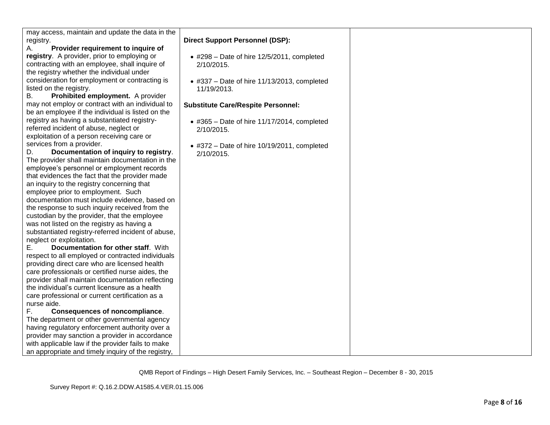| may access, maintain and update the data in the       |                                                     |
|-------------------------------------------------------|-----------------------------------------------------|
| registry.<br>Provider requirement to inquire of<br>А. | <b>Direct Support Personnel (DSP):</b>              |
| registry. A provider, prior to employing or           |                                                     |
|                                                       | $\bullet$ #298 - Date of hire 12/5/2011, completed  |
| contracting with an employee, shall inquire of        | 2/10/2015.                                          |
| the registry whether the individual under             |                                                     |
| consideration for employment or contracting is        | $*$ #337 - Date of hire 11/13/2013, completed       |
| listed on the registry.                               | 11/19/2013.                                         |
| Prohibited employment. A provider<br>В.               |                                                     |
| may not employ or contract with an individual to      | <b>Substitute Care/Respite Personnel:</b>           |
| be an employee if the individual is listed on the     |                                                     |
| registry as having a substantiated registry-          | $\bullet$ #365 - Date of hire 11/17/2014, completed |
| referred incident of abuse, neglect or                | 2/10/2015.                                          |
| exploitation of a person receiving care or            |                                                     |
| services from a provider.                             | $\bullet$ #372 – Date of hire 10/19/2011, completed |
| Documentation of inquiry to registry.<br>D.           | 2/10/2015.                                          |
| The provider shall maintain documentation in the      |                                                     |
| employee's personnel or employment records            |                                                     |
| that evidences the fact that the provider made        |                                                     |
| an inquiry to the registry concerning that            |                                                     |
| employee prior to employment. Such                    |                                                     |
| documentation must include evidence, based on         |                                                     |
| the response to such inquiry received from the        |                                                     |
| custodian by the provider, that the employee          |                                                     |
| was not listed on the registry as having a            |                                                     |
| substantiated registry-referred incident of abuse,    |                                                     |
| neglect or exploitation.                              |                                                     |
| Documentation for other staff. With<br>Е.             |                                                     |
| respect to all employed or contracted individuals     |                                                     |
| providing direct care who are licensed health         |                                                     |
| care professionals or certified nurse aides, the      |                                                     |
| provider shall maintain documentation reflecting      |                                                     |
| the individual's current licensure as a health        |                                                     |
| care professional or current certification as a       |                                                     |
| nurse aide.                                           |                                                     |
| F.<br><b>Consequences of noncompliance.</b>           |                                                     |
| The department or other governmental agency           |                                                     |
| having regulatory enforcement authority over a        |                                                     |
| provider may sanction a provider in accordance        |                                                     |
| with applicable law if the provider fails to make     |                                                     |
| an appropriate and timely inquiry of the registry,    |                                                     |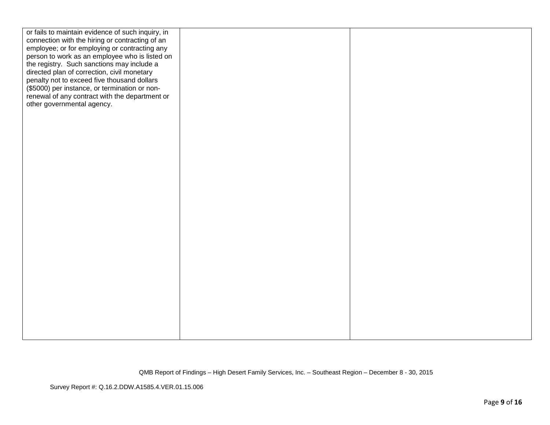| or fails to maintain evidence of such inquiry, in |  |
|---------------------------------------------------|--|
| connection with the hiring or contracting of an   |  |
| employee; or for employing or contracting any     |  |
| person to work as an employee who is listed on    |  |
| the registry. Such sanctions may include a        |  |
| directed plan of correction, civil monetary       |  |
| penalty not to exceed five thousand dollars       |  |
| (\$5000) per instance, or termination or non-     |  |
| renewal of any contract with the department or    |  |
| other governmental agency.                        |  |
|                                                   |  |
|                                                   |  |
|                                                   |  |
|                                                   |  |
|                                                   |  |
|                                                   |  |
|                                                   |  |
|                                                   |  |
|                                                   |  |
|                                                   |  |
|                                                   |  |
|                                                   |  |
|                                                   |  |
|                                                   |  |
|                                                   |  |
|                                                   |  |
|                                                   |  |
|                                                   |  |
|                                                   |  |
|                                                   |  |
|                                                   |  |
|                                                   |  |
|                                                   |  |
|                                                   |  |
|                                                   |  |
|                                                   |  |
|                                                   |  |
|                                                   |  |
|                                                   |  |
|                                                   |  |
|                                                   |  |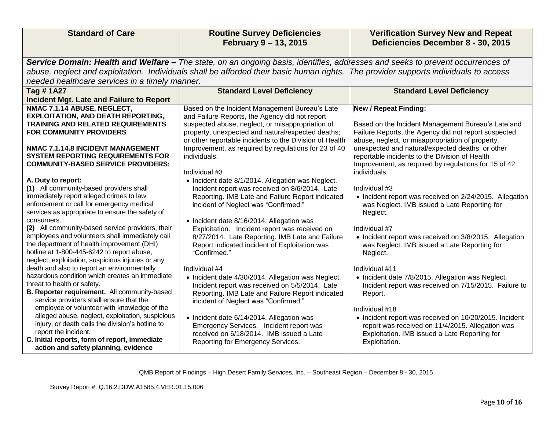| <b>Standard of Care</b>                                                                 | <b>Routine Survey Deficiencies</b><br>February 9 - 13, 2015                                                                          | <b>Verification Survey New and Repeat</b><br>Deficiencies December 8 - 30, 2015                        |
|-----------------------------------------------------------------------------------------|--------------------------------------------------------------------------------------------------------------------------------------|--------------------------------------------------------------------------------------------------------|
|                                                                                         |                                                                                                                                      |                                                                                                        |
|                                                                                         | Service Domain: Health and Welfare - The state, on an ongoing basis, identifies, addresses and seeks to prevent occurrences of       |                                                                                                        |
|                                                                                         | abuse, neglect and exploitation. Individuals shall be afforded their basic human rights. The provider supports individuals to access |                                                                                                        |
| needed healthcare services in a timely manner.                                          |                                                                                                                                      |                                                                                                        |
| Tag #1A27                                                                               | <b>Standard Level Deficiency</b>                                                                                                     | <b>Standard Level Deficiency</b>                                                                       |
| Incident Mgt. Late and Failure to Report                                                |                                                                                                                                      |                                                                                                        |
| NMAC 7.1.14 ABUSE, NEGLECT,                                                             | Based on the Incident Management Bureau's Late                                                                                       | <b>New / Repeat Finding:</b>                                                                           |
| <b>EXPLOITATION, AND DEATH REPORTING,</b>                                               | and Failure Reports, the Agency did not report                                                                                       |                                                                                                        |
| TRAINING AND RELATED REQUIREMENTS                                                       | suspected abuse, neglect, or misappropriation of                                                                                     | Based on the Incident Management Bureau's Late and                                                     |
| <b>FOR COMMUNITY PROVIDERS</b>                                                          | property, unexpected and natural/expected deaths;                                                                                    | Failure Reports, the Agency did not report suspected                                                   |
|                                                                                         | or other reportable incidents to the Division of Health                                                                              | abuse, neglect, or misappropriation of property,                                                       |
| NMAC 7.1.14.8 INCIDENT MANAGEMENT<br><b>SYSTEM REPORTING REQUIREMENTS FOR</b>           | Improvement, as required by regulations for 23 of 40<br>individuals.                                                                 | unexpected and natural/expected deaths; or other                                                       |
| <b>COMMUNITY-BASED SERVICE PROVIDERS:</b>                                               |                                                                                                                                      | reportable incidents to the Division of Health<br>Improvement, as required by regulations for 15 of 42 |
|                                                                                         | Individual #3                                                                                                                        | individuals.                                                                                           |
| A. Duty to report:                                                                      | • Incident date 8/1/2014. Allegation was Neglect.                                                                                    |                                                                                                        |
| (1) All community-based providers shall                                                 | Incident report was received on 8/6/2014. Late                                                                                       | Individual #3                                                                                          |
| immediately report alleged crimes to law                                                | Reporting. IMB Late and Failure Report indicated                                                                                     | • Incident report was received on 2/24/2015. Allegation                                                |
| enforcement or call for emergency medical                                               | incident of Neglect was "Confirmed."                                                                                                 | was Neglect. IMB issued a Late Reporting for                                                           |
| services as appropriate to ensure the safety of                                         |                                                                                                                                      | Neglect.                                                                                               |
| consumers.                                                                              | • Incident date 8/16/2014. Allegation was                                                                                            |                                                                                                        |
| (2) All community-based service providers, their                                        | Exploitation. Incident report was received on                                                                                        | Individual #7                                                                                          |
| employees and volunteers shall immediately call                                         | 8/27/2014. Late Reporting. IMB Late and Failure                                                                                      | • Incident report was received on 3/8/2015. Allegation                                                 |
| the department of health improvement (DHI)                                              | Report indicated incident of Exploitation was                                                                                        | was Neglect. IMB issued a Late Reporting for                                                           |
| hotline at 1-800-445-6242 to report abuse,                                              | "Confirmed."                                                                                                                         | Neglect.                                                                                               |
| neglect, exploitation, suspicious injuries or any                                       |                                                                                                                                      |                                                                                                        |
| death and also to report an environmentally                                             | Individual #4                                                                                                                        | Individual #11                                                                                         |
| hazardous condition which creates an immediate                                          | • Incident date 4/30/2014. Allegation was Neglect.                                                                                   | • Incident date 7/8/2015. Allegation was Neglect.                                                      |
| threat to health or safety.                                                             | Incident report was received on 5/5/2014. Late                                                                                       | Incident report was received on 7/15/2015. Failure to                                                  |
| B. Reporter requirement. All community-based<br>service providers shall ensure that the | Reporting. IMB Late and Failure Report indicated<br>incident of Neglect was "Confirmed."                                             | Report.                                                                                                |
| employee or volunteer with knowledge of the                                             |                                                                                                                                      | Individual #18                                                                                         |
| alleged abuse, neglect, exploitation, suspicious                                        | • Incident date 6/14/2014. Allegation was                                                                                            | • Incident report was received on 10/20/2015. Incident                                                 |
| injury, or death calls the division's hotline to                                        | Emergency Services. Incident report was                                                                                              | report was received on 11/4/2015. Allegation was                                                       |
| report the incident.                                                                    | received on 6/18/2014. IMB issued a Late                                                                                             | Exploitation. IMB issued a Late Reporting for                                                          |
| C. Initial reports, form of report, immediate<br>action and safety planning, evidence   | Reporting for Emergency Services.                                                                                                    | Exploitation.                                                                                          |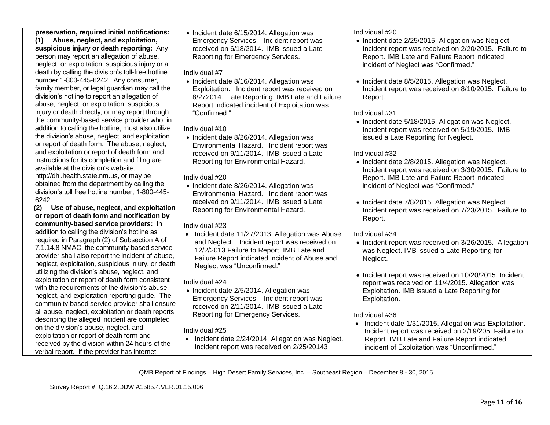**preservation, required initial notifications: (1) Abuse, neglect, and exploitation, suspicious injury or death reporting:** Any person may report an allegation of abuse, neglect, or exploitation, suspicious injury or a death by calling the division's toll-free hotline number 1-800-445-6242. Any consumer, family member, or legal guardian may call the division's hotline to report an allegation of abuse, neglect, or exploitation, suspicious injury or death directly, or may report through the community-based service provider who, in addition to calling the hotline, must also utilize the division's abuse, neglect, and exploitation or report of death form. The abuse, neglect, and exploitation or report of death form and instructions for its completion and filing are available at the division's website, http://dhi.health.state.nm.us, or may be obtained from the department by calling the division's toll free hotline number, 1-800-445- 6242.

 **(2) Use of abuse, neglect, and exploitation or report of death form and notification by community-based service providers:** In addition to calling the division's hotline as required in Paragraph (2) of Subsection A of 7.1.14.8 NMAC, the community-based service provider shall also report the incident of abuse, neglect, exploitation, suspicious injury, or death utilizing the division's abuse, neglect, and exploitation or report of death form consistent with the requirements of the division's abuse, neglect, and exploitation reporting guide. The community-based service provider shall ensure all abuse, neglect, exploitation or death reports describing the alleged incident are completed on the division's abuse, neglect, and exploitation or report of death form and received by the division within 24 hours of the verbal report. If the provider has internet

• Incident date 6/15/2014. Allegation was Emergency Services. Incident report was received on 6/18/2014. IMB issued a Late Reporting for Emergency Services.

Individual #7

• Incident date 8/16/2014. Allegation was Exploitation. Incident report was received on 8/272014. Late Reporting. IMB Late and Failure Report indicated incident of Exploitation was "Confirmed."

Individual #10

• Incident date 8/26/2014. Allegation was Environmental Hazard. Incident report was received on 9/11/2014. IMB issued a Late Reporting for Environmental Hazard.

Individual #20

• Incident date 8/26/2014. Allegation was Environmental Hazard. Incident report was received on 9/11/2014. IMB issued a Late Reporting for Environmental Hazard.

Individual #23

• Incident date 11/27/2013. Allegation was Abuse and Neglect. Incident report was received on 12/2/2013 Failure to Report. IMB Late and Failure Report indicated incident of Abuse and Neglect was "Unconfirmed."

Individual #24

• Incident date 2/5/2014. Allegation was Emergency Services. Incident report was received on 2/11/2014. IMB issued a Late Reporting for Emergency Services.

## Individual #25

• Incident date 2/24/2014. Allegation was Neglect. Incident report was received on 2/25/20143

Individual #20

- Incident date 2/25/2015. Allegation was Neglect. Incident report was received on 2/20/2015. Failure to Report. IMB Late and Failure Report indicated incident of Neglect was "Confirmed."
- Incident date 8/5/2015. Allegation was Neglect. Incident report was received on 8/10/2015. Failure to Report.

## Individual #31

• Incident date 5/18/2015. Allegation was Neglect. Incident report was received on 5/19/2015. IMB issued a Late Reporting for Neglect.

## Individual #32

- Incident date 2/8/2015. Allegation was Neglect. Incident report was received on 3/30/2015. Failure to Report. IMB Late and Failure Report indicated incident of Neglect was "Confirmed."
- Incident date 7/8/2015. Allegation was Neglect. Incident report was received on 7/23/2015. Failure to Report.

# Individual #34

- Incident report was received on 3/26/2015. Allegation was Neglect. IMB issued a Late Reporting for Neglect.
- Incident report was received on 10/20/2015. Incident report was received on 11/4/2015. Allegation was Exploitation. IMB issued a Late Reporting for Exploitation.

# Individual #36

• Incident date 1/31/2015. Allegation was Exploitation. Incident report was received on 2/19/205. Failure to Report. IMB Late and Failure Report indicated incident of Exploitation was "Unconfirmed."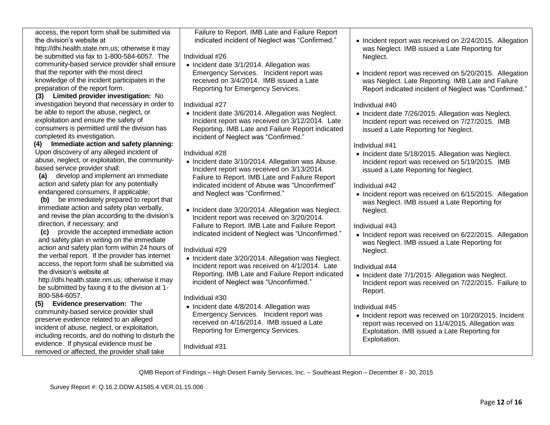| access, the report form shall be submitted via                                   | Failure to Report. IMB Late and Failure Report                                                   |                                                          |
|----------------------------------------------------------------------------------|--------------------------------------------------------------------------------------------------|----------------------------------------------------------|
| the division's website at                                                        | indicated incident of Neglect was "Confirmed."                                                   | • Incident report was received on 2/24/2015. Allegation  |
| http://dhi.health.state.nm.us; otherwise it may                                  |                                                                                                  | was Neglect. IMB issued a Late Reporting for             |
| be submitted via fax to 1-800-584-6057. The                                      | Individual #26                                                                                   | Neglect.                                                 |
| community-based service provider shall ensure                                    | • Incident date 3/1/2014. Allegation was                                                         |                                                          |
| that the reporter with the most direct                                           | Emergency Services. Incident report was                                                          | • Incident report was received on 5/20/2015. Allegation  |
| knowledge of the incident participates in the                                    | received on 3/4/2014. IMB issued a Late                                                          | was Neglect. Late Reporting. IMB Late and Failure        |
| preparation of the report form.                                                  | Reporting for Emergency Services.                                                                | Report indicated incident of Neglect was "Confirmed."    |
| (3) Limited provider investigation: No                                           |                                                                                                  |                                                          |
| investigation beyond that necessary in order to                                  | Individual #27                                                                                   | Individual #40                                           |
| be able to report the abuse, neglect, or                                         | • Incident date 3/6/2014. Allegation was Neglect.                                                | • Incident date 7/26/2015. Allegation was Neglect.       |
| exploitation and ensure the safety of                                            | Incident report was received on 3/12/2014. Late                                                  | Incident report was received on 7/27/2015. IMB           |
| consumers is permitted until the division has                                    | Reporting. IMB Late and Failure Report indicated                                                 | issued a Late Reporting for Neglect.                     |
| completed its investigation.                                                     | incident of Neglect was "Confirmed."                                                             |                                                          |
| (4) Immediate action and safety planning:                                        |                                                                                                  | Individual #41                                           |
| Upon discovery of any alleged incident of                                        | Individual #28                                                                                   | • Incident date 5/18/2015. Allegation was Neglect.       |
| abuse, neglect, or exploitation, the community-<br>based service provider shall: | • Incident date 3/10/2014. Allegation was Abuse.                                                 | Incident report was received on 5/19/2015. IMB           |
| develop and implement an immediate<br>(a)                                        | Incident report was received on 3/13/2014.                                                       | issued a Late Reporting for Neglect.                     |
| action and safety plan for any potentially                                       | Failure to Report. IMB Late and Failure Report                                                   |                                                          |
| endangered consumers, if applicable;                                             | indicated incident of Abuse was "Unconfirmed"                                                    | Individual #42                                           |
| (b) be immediately prepared to report that                                       | and Neglect was "Confirmed."                                                                     | • Incident report was received on 6/15/2015. Allegation  |
| immediate action and safety plan verbally,                                       |                                                                                                  | was Neglect. IMB issued a Late Reporting for             |
| and revise the plan according to the division's                                  | • Incident date 3/20/2014. Allegation was Neglect.<br>Incident report was received on 3/20/2014. | Neglect.                                                 |
| direction, if necessary; and                                                     | Failure to Report. IMB Late and Failure Report                                                   | Individual #43                                           |
| (c) provide the accepted immediate action                                        | indicated incident of Neglect was "Unconfirmed."                                                 |                                                          |
| and safety plan in writing on the immediate                                      |                                                                                                  | • Incident report was received on 6/22/2015. Allegation  |
| action and safety plan form within 24 hours of                                   | Individual #29                                                                                   | was Neglect. IMB issued a Late Reporting for<br>Neglect. |
| the verbal report. If the provider has internet                                  | • Incident date 3/20/2014. Allegation was Neglect.                                               |                                                          |
| access, the report form shall be submitted via                                   | Incident report was received on 4/1/2014. Late                                                   | Individual #44                                           |
| the division's website at                                                        | Reporting. IMB Late and Failure Report indicated                                                 | • Incident date 7/1/2015. Allegation was Neglect.        |
| http://dhi.health.state.nm.us; otherwise it may                                  | incident of Neglect was "Unconfirmed."                                                           | Incident report was received on 7/22/2015. Failure to    |
| be submitted by faxing it to the division at 1-                                  |                                                                                                  | Report.                                                  |
| 800-584-6057.                                                                    | Individual #30                                                                                   |                                                          |
| Evidence preservation: The<br>(5)                                                | • Incident date 4/8/2014. Allegation was                                                         | Individual #45                                           |
| community-based service provider shall                                           | Emergency Services. Incident report was                                                          | • Incident report was received on 10/20/2015. Incident   |
| preserve evidence related to an alleged                                          | received on 4/16/2014. IMB issued a Late                                                         | report was received on 11/4/2015. Allegation was         |
| incident of abuse, neglect, or exploitation,                                     | Reporting for Emergency Services.                                                                | Exploitation. IMB issued a Late Reporting for            |
| including records, and do nothing to disturb the                                 |                                                                                                  | Exploitation.                                            |
| evidence. If physical evidence must be                                           | Individual #31                                                                                   |                                                          |
| removed or affected, the provider shall take                                     |                                                                                                  |                                                          |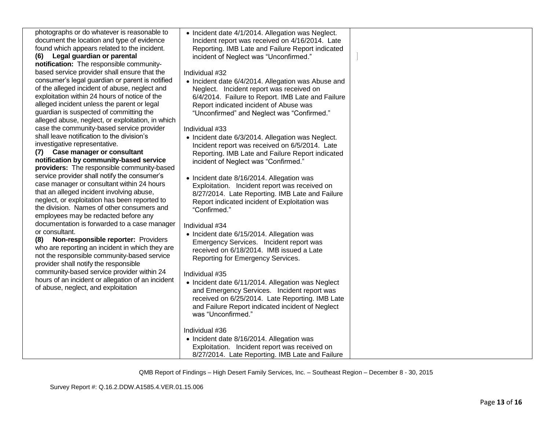| photographs or do whatever is reasonable to       | • Incident date 4/1/2014. Allegation was Neglect.  |  |
|---------------------------------------------------|----------------------------------------------------|--|
| document the location and type of evidence        | Incident report was received on 4/16/2014. Late    |  |
| found which appears related to the incident.      | Reporting. IMB Late and Failure Report indicated   |  |
| (6) Legal guardian or parental                    | incident of Neglect was "Unconfirmed."             |  |
| notification: The responsible community-          |                                                    |  |
| based service provider shall ensure that the      | Individual #32                                     |  |
| consumer's legal guardian or parent is notified   | • Incident date 6/4/2014. Allegation was Abuse and |  |
| of the alleged incident of abuse, neglect and     | Neglect. Incident report was received on           |  |
| exploitation within 24 hours of notice of the     | 6/4/2014. Failure to Report. IMB Late and Failure  |  |
| alleged incident unless the parent or legal       | Report indicated incident of Abuse was             |  |
| guardian is suspected of committing the           | "Unconfirmed" and Neglect was "Confirmed."         |  |
| alleged abuse, neglect, or exploitation, in which |                                                    |  |
| case the community-based service provider         | Individual #33                                     |  |
| shall leave notification to the division's        | • Incident date 6/3/2014. Allegation was Neglect.  |  |
| investigative representative.                     | Incident report was received on 6/5/2014. Late     |  |
| (7) Case manager or consultant                    | Reporting. IMB Late and Failure Report indicated   |  |
| notification by community-based service           | incident of Neglect was "Confirmed."               |  |
| providers: The responsible community-based        |                                                    |  |
| service provider shall notify the consumer's      | • Incident date 8/16/2014. Allegation was          |  |
| case manager or consultant within 24 hours        | Exploitation. Incident report was received on      |  |
| that an alleged incident involving abuse,         | 8/27/2014. Late Reporting. IMB Late and Failure    |  |
| neglect, or exploitation has been reported to     | Report indicated incident of Exploitation was      |  |
| the division. Names of other consumers and        | "Confirmed."                                       |  |
| employees may be redacted before any              |                                                    |  |
| documentation is forwarded to a case manager      | Individual #34                                     |  |
| or consultant.                                    | • Incident date 6/15/2014. Allegation was          |  |
| Non-responsible reporter: Providers<br>(8)        | Emergency Services. Incident report was            |  |
| who are reporting an incident in which they are   | received on 6/18/2014. IMB issued a Late           |  |
| not the responsible community-based service       | Reporting for Emergency Services.                  |  |
| provider shall notify the responsible             |                                                    |  |
| community-based service provider within 24        | Individual #35                                     |  |
| hours of an incident or allegation of an incident | • Incident date 6/11/2014. Allegation was Neglect  |  |
| of abuse, neglect, and exploitation               | and Emergency Services. Incident report was        |  |
|                                                   | received on 6/25/2014. Late Reporting. IMB Late    |  |
|                                                   | and Failure Report indicated incident of Neglect   |  |
|                                                   | was "Unconfirmed."                                 |  |
|                                                   |                                                    |  |
|                                                   | Individual #36                                     |  |
|                                                   | • Incident date 8/16/2014. Allegation was          |  |
|                                                   | Exploitation. Incident report was received on      |  |
|                                                   | 8/27/2014. Late Reporting. IMB Late and Failure    |  |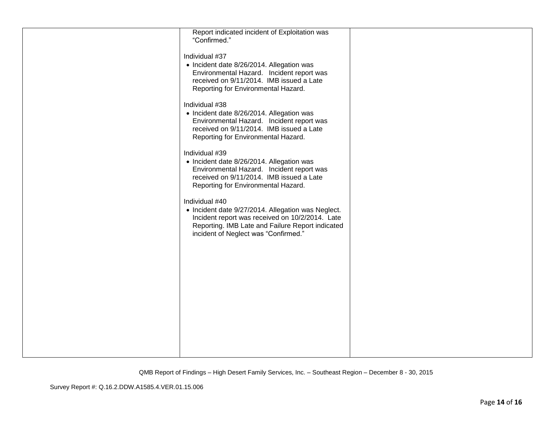| Report indicated incident of Exploitation was<br>"Confirmed."                                                                                                                                                       |  |
|---------------------------------------------------------------------------------------------------------------------------------------------------------------------------------------------------------------------|--|
| Individual #37<br>• Incident date 8/26/2014. Allegation was<br>Environmental Hazard. Incident report was<br>received on 9/11/2014. IMB issued a Late<br>Reporting for Environmental Hazard.                         |  |
| Individual #38<br>• Incident date 8/26/2014. Allegation was<br>Environmental Hazard. Incident report was<br>received on 9/11/2014. IMB issued a Late<br>Reporting for Environmental Hazard.                         |  |
| Individual #39<br>• Incident date 8/26/2014. Allegation was<br>Environmental Hazard. Incident report was<br>received on 9/11/2014. IMB issued a Late<br>Reporting for Environmental Hazard.                         |  |
| Individual #40<br>• Incident date 9/27/2014. Allegation was Neglect.<br>Incident report was received on 10/2/2014. Late<br>Reporting. IMB Late and Failure Report indicated<br>incident of Neglect was "Confirmed." |  |
|                                                                                                                                                                                                                     |  |
|                                                                                                                                                                                                                     |  |
|                                                                                                                                                                                                                     |  |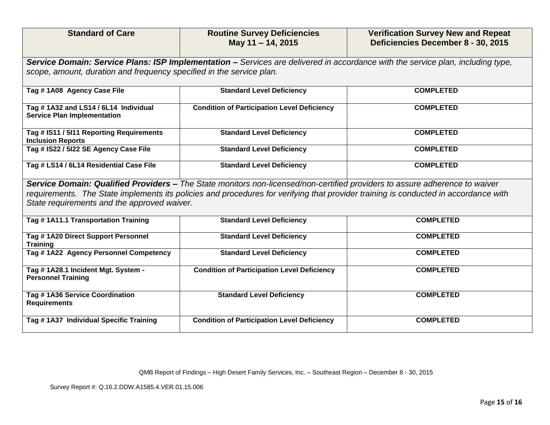| <b>Standard of Care</b>                                                                                                                                                                                                                                                                                           | <b>Routine Survey Deficiencies</b><br>May 11 - 14, 2015                                                                         | <b>Verification Survey New and Repeat</b><br>Deficiencies December 8 - 30, 2015 |  |
|-------------------------------------------------------------------------------------------------------------------------------------------------------------------------------------------------------------------------------------------------------------------------------------------------------------------|---------------------------------------------------------------------------------------------------------------------------------|---------------------------------------------------------------------------------|--|
|                                                                                                                                                                                                                                                                                                                   | Service Domain: Service Plans: ISP Implementation - Services are delivered in accordance with the service plan, including type, |                                                                                 |  |
| scope, amount, duration and frequency specified in the service plan.                                                                                                                                                                                                                                              |                                                                                                                                 |                                                                                 |  |
| Tag #1A08 Agency Case File                                                                                                                                                                                                                                                                                        | <b>Standard Level Deficiency</b>                                                                                                | <b>COMPLETED</b>                                                                |  |
| Tag #1A32 and LS14 / 6L14 Individual<br><b>Service Plan Implementation</b>                                                                                                                                                                                                                                        | <b>Condition of Participation Level Deficiency</b>                                                                              | <b>COMPLETED</b>                                                                |  |
| Tag # IS11 / 5I11 Reporting Requirements<br><b>Inclusion Reports</b>                                                                                                                                                                                                                                              | <b>Standard Level Deficiency</b>                                                                                                | <b>COMPLETED</b>                                                                |  |
| Tag # IS22 / 5I22 SE Agency Case File                                                                                                                                                                                                                                                                             | <b>Standard Level Deficiency</b>                                                                                                | <b>COMPLETED</b>                                                                |  |
| Tag # LS14 / 6L14 Residential Case File                                                                                                                                                                                                                                                                           | <b>Standard Level Deficiency</b>                                                                                                | <b>COMPLETED</b>                                                                |  |
| Service Domain: Qualified Providers - The State monitors non-licensed/non-certified providers to assure adherence to waiver<br>requirements. The State implements its policies and procedures for verifying that provider training is conducted in accordance with<br>State requirements and the approved waiver. |                                                                                                                                 |                                                                                 |  |
| Tag #1A11.1 Transportation Training                                                                                                                                                                                                                                                                               | <b>Standard Level Deficiency</b>                                                                                                | <b>COMPLETED</b>                                                                |  |
| Tag #1A20 Direct Support Personnel<br><b>Training</b>                                                                                                                                                                                                                                                             | <b>Standard Level Deficiency</b>                                                                                                | <b>COMPLETED</b>                                                                |  |
| Tag #1A22 Agency Personnel Competency                                                                                                                                                                                                                                                                             | <b>Standard Level Deficiency</b>                                                                                                | <b>COMPLETED</b>                                                                |  |
| Tag #1A28.1 Incident Mgt. System -<br><b>Personnel Training</b>                                                                                                                                                                                                                                                   | <b>Condition of Participation Level Deficiency</b>                                                                              | <b>COMPLETED</b>                                                                |  |
| Tag #1A36 Service Coordination<br><b>Requirements</b>                                                                                                                                                                                                                                                             | <b>Standard Level Deficiency</b>                                                                                                | <b>COMPLETED</b>                                                                |  |
| Tag #1A37 Individual Specific Training                                                                                                                                                                                                                                                                            | <b>Condition of Participation Level Deficiency</b>                                                                              | <b>COMPLETED</b>                                                                |  |